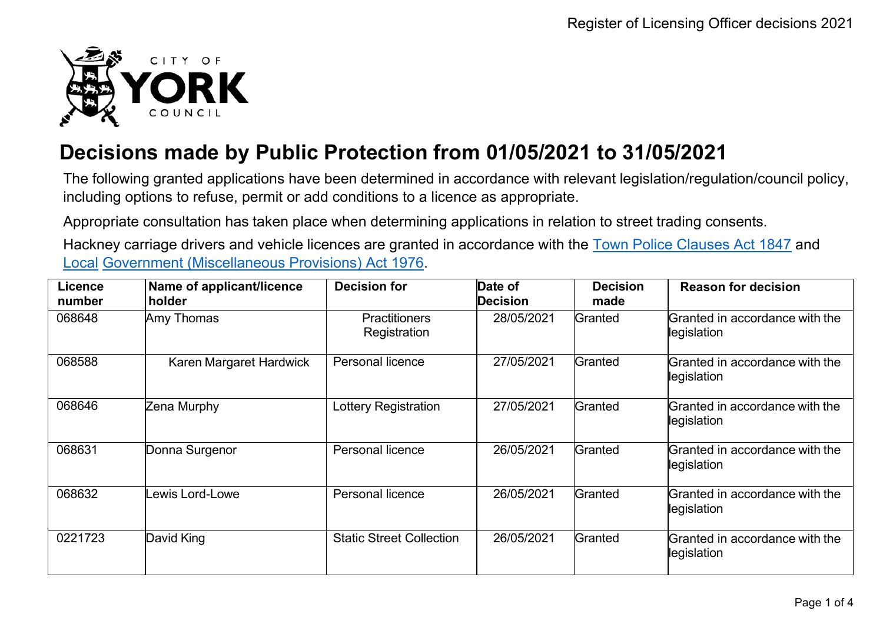

## **Decisions made by Public Protection from 01/05/2021 to 31/05/2021**

The following granted applications have been determined in accordance with relevant legislation/regulation/council policy, including options to refuse, permit or add conditions to a licence as appropriate.

Appropriate consultation has taken place when determining applications in relation to street trading consents.

Hackney carriage drivers and vehicle licences are granted in accordance with the Town Police [Clauses](http://www.legislation.gov.uk/ukpga/Vict/10-11/89) Act 1847 and [Local](http://www.legislation.gov.uk/ukpga/1976/57) [Government \(Miscellaneous Provisions\) Act 1976.](http://www.legislation.gov.uk/ukpga/1976/57)

| Licence<br>number | Name of applicant/licence<br>holder | <b>Decision for</b>                  | Date of<br><b>Decision</b> | <b>Decision</b><br>made | <b>Reason for decision</b>                    |
|-------------------|-------------------------------------|--------------------------------------|----------------------------|-------------------------|-----------------------------------------------|
| 068648            | Amy Thomas                          | <b>Practitioners</b><br>Registration | 28/05/2021                 | Granted                 | Granted in accordance with the<br>legislation |
| 068588            | Karen Margaret Hardwick             | Personal licence                     | 27/05/2021                 | Granted                 | Granted in accordance with the<br>legislation |
| 068646            | Zena Murphy                         | Lottery Registration                 | 27/05/2021                 | Granted                 | Granted in accordance with the<br>legislation |
| 068631            | Donna Surgenor                      | <b>Personal licence</b>              | 26/05/2021                 | Granted                 | Granted in accordance with the<br>legislation |
| 068632            | ewis Lord-Lowe                      | <b>Personal licence</b>              | 26/05/2021                 | Granted                 | Granted in accordance with the<br>legislation |
| 0221723           | David King                          | <b>Static Street Collection</b>      | 26/05/2021                 | Granted                 | Granted in accordance with the<br>legislation |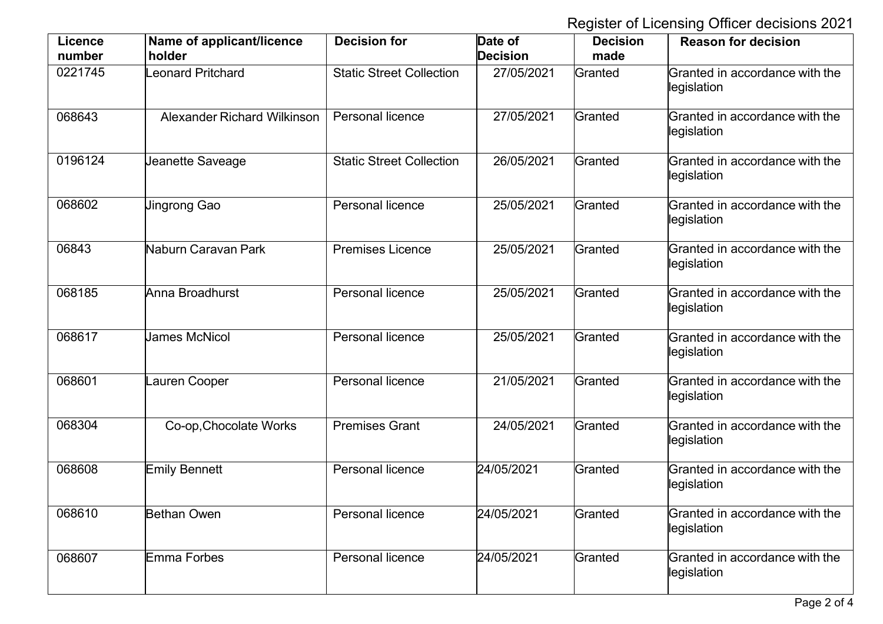Register of Licensing Officer decisions 2021

| <b>Licence</b><br>number | Name of applicant/licence<br>holder | <b>Decision for</b>             | Date of<br><b>Decision</b> | <b>Decision</b><br>made | <b>Reason for decision</b>                    |
|--------------------------|-------------------------------------|---------------------------------|----------------------------|-------------------------|-----------------------------------------------|
| 0221745                  | Leonard Pritchard                   | <b>Static Street Collection</b> | 27/05/2021                 | Granted                 | Granted in accordance with the<br>legislation |
| 068643                   | <b>Alexander Richard Wilkinson</b>  | Personal licence                | 27/05/2021                 | Granted                 | Granted in accordance with the<br>legislation |
| 0196124                  | Jeanette Saveage                    | <b>Static Street Collection</b> | 26/05/2021                 | Granted                 | Granted in accordance with the<br>legislation |
| 068602                   | <b>Jingrong Gao</b>                 | Personal licence                | 25/05/2021                 | Granted                 | Granted in accordance with the<br>legislation |
| 06843                    | Naburn Caravan Park                 | <b>Premises Licence</b>         | 25/05/2021                 | Granted                 | Granted in accordance with the<br>legislation |
| 068185                   | Anna Broadhurst                     | Personal licence                | 25/05/2021                 | Granted                 | Granted in accordance with the<br>legislation |
| 068617                   | <b>James McNicol</b>                | Personal licence                | 25/05/2021                 | Granted                 | Granted in accordance with the<br>legislation |
| 068601                   | Lauren Cooper                       | <b>Personal licence</b>         | 21/05/2021                 | Granted                 | Granted in accordance with the<br>legislation |
| 068304                   | Co-op, Chocolate Works              | <b>Premises Grant</b>           | 24/05/2021                 | Granted                 | Granted in accordance with the<br>legislation |
| 068608                   | Emily Bennett                       | <b>Personal licence</b>         | 24/05/2021                 | Granted                 | Granted in accordance with the<br>legislation |
| 068610                   | <b>Bethan Owen</b>                  | Personal licence                | 24/05/2021                 | Granted                 | Granted in accordance with the<br>legislation |
| 068607                   | Emma Forbes                         | Personal licence                | 24/05/2021                 | Granted                 | Granted in accordance with the<br>legislation |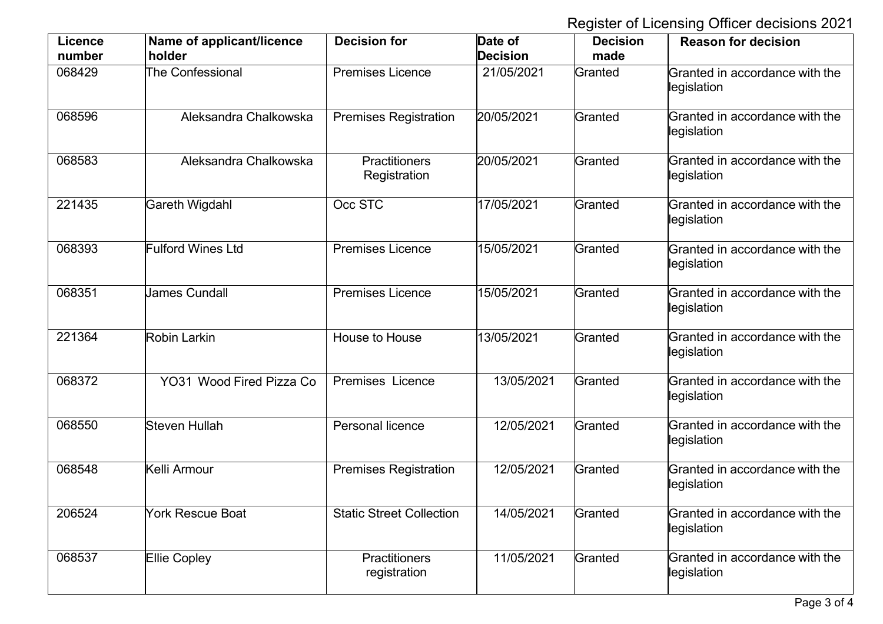Register of Licensing Officer decisions 2021

| <b>Licence</b><br>number | Name of applicant/licence<br>holder | <b>Decision for</b>                  | Date of<br><b>Decision</b> | <b>Decision</b><br>made | <b>Reason for decision</b>                    |
|--------------------------|-------------------------------------|--------------------------------------|----------------------------|-------------------------|-----------------------------------------------|
| 068429                   | The Confessional                    | <b>Premises Licence</b>              | 21/05/2021                 | Granted                 | Granted in accordance with the<br>legislation |
| 068596                   | Aleksandra Chalkowska               | <b>Premises Registration</b>         | 20/05/2021                 | Granted                 | Granted in accordance with the<br>legislation |
| 068583                   | Aleksandra Chalkowska               | <b>Practitioners</b><br>Registration | 20/05/2021                 | Granted                 | Granted in accordance with the<br>legislation |
| 221435                   | Gareth Wigdahl                      | Occ STC                              | 17/05/2021                 | Granted                 | Granted in accordance with the<br>legislation |
| 068393                   | <b>Fulford Wines Ltd</b>            | <b>Premises Licence</b>              | 15/05/2021                 | Granted                 | Granted in accordance with the<br>legislation |
| 068351                   | <b>James Cundall</b>                | <b>Premises Licence</b>              | 15/05/2021                 | Granted                 | Granted in accordance with the<br>legislation |
| 221364                   | <b>Robin Larkin</b>                 | House to House                       | 13/05/2021                 | Granted                 | Granted in accordance with the<br>legislation |
| 068372                   | YO31 Wood Fired Pizza Co            | <b>Premises Licence</b>              | 13/05/2021                 | Granted                 | Granted in accordance with the<br>legislation |
| 068550                   | <b>Steven Hullah</b>                | <b>Personal licence</b>              | 12/05/2021                 | Granted                 | Granted in accordance with the<br>legislation |
| 068548                   | Kelli Armour                        | <b>Premises Registration</b>         | 12/05/2021                 | Granted                 | Granted in accordance with the<br>legislation |
| 206524                   | <b>York Rescue Boat</b>             | <b>Static Street Collection</b>      | 14/05/2021                 | Granted                 | Granted in accordance with the<br>legislation |
| 068537                   | <b>Ellie Copley</b>                 | <b>Practitioners</b><br>registration | 11/05/2021                 | Granted                 | Granted in accordance with the<br>legislation |